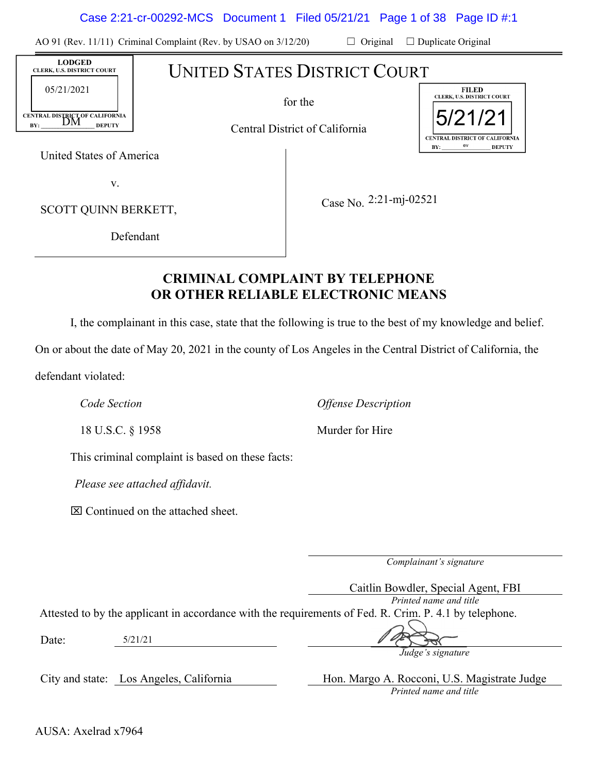|                                                                                                                                                                                            |                                              |                                                                 |                                                                                                            | Case 2:21-cr-00292-MCS Document 1 Filed 05/21/21 Page 1 of 38 Page ID #:1                                                        |
|--------------------------------------------------------------------------------------------------------------------------------------------------------------------------------------------|----------------------------------------------|-----------------------------------------------------------------|------------------------------------------------------------------------------------------------------------|----------------------------------------------------------------------------------------------------------------------------------|
|                                                                                                                                                                                            |                                              | AO 91 (Rev. 11/11) Criminal Complaint (Rev. by USAO on 3/12/20) | $\Box$ Original                                                                                            | $\Box$ Duplicate Original                                                                                                        |
| <b>LODGED</b><br>CLERK, U.S. DISTRICT COURT<br>05/21/2021<br>CENTRAL DISTRICT OF CALIFORNIA<br><b>DEPUTY</b><br>BY:<br>United States of America<br>V.<br>SCOTT QUINN BERKETT,<br>Defendant |                                              |                                                                 | <b>UNITED STATES DISTRICT COURT</b><br>for the<br>Central District of California<br>Case No. 2:21-mj-02521 | <b>FILED</b><br>CLERK, U.S. DISTRICT COURT<br>5/21/21<br><b>CENTRAL DISTRICT OF CALIFORNIA</b><br><b>DEPUTY</b><br>BY:           |
|                                                                                                                                                                                            |                                              |                                                                 | <b>CRIMINAL COMPLAINT BY TELEPHONE</b><br>OR OTHER RELIABLE ELECTRONIC MEANS                               | I, the complainant in this case, state that the following is true to the best of my knowledge and belie                          |
|                                                                                                                                                                                            |                                              |                                                                 |                                                                                                            | On or about the date of May 20, 2021 in the county of Los Angeles in the Central District of California, the                     |
| defendant violated:                                                                                                                                                                        |                                              |                                                                 |                                                                                                            |                                                                                                                                  |
| Code Section                                                                                                                                                                               |                                              |                                                                 | <b>Offense Description</b>                                                                                 |                                                                                                                                  |
| 18 U.S.C. § 1958                                                                                                                                                                           |                                              |                                                                 | Murder for Hire                                                                                            |                                                                                                                                  |
|                                                                                                                                                                                            |                                              | This criminal complaint is based on these facts:                |                                                                                                            |                                                                                                                                  |
|                                                                                                                                                                                            | Please see attached affidavit.               |                                                                 |                                                                                                            |                                                                                                                                  |
|                                                                                                                                                                                            | $\boxtimes$ Continued on the attached sheet. |                                                                 |                                                                                                            |                                                                                                                                  |
|                                                                                                                                                                                            |                                              |                                                                 |                                                                                                            |                                                                                                                                  |
|                                                                                                                                                                                            |                                              |                                                                 |                                                                                                            | Complainant's signature                                                                                                          |
|                                                                                                                                                                                            |                                              |                                                                 |                                                                                                            | Caitlin Bowdler, Special Agent, FBI                                                                                              |
|                                                                                                                                                                                            |                                              |                                                                 |                                                                                                            | Printed name and title<br>Attested to by the applicant in accordance with the requirements of Fed. R. Crim. P. 4.1 by telephone. |
| Date:                                                                                                                                                                                      | 5/21/21                                      |                                                                 |                                                                                                            |                                                                                                                                  |
|                                                                                                                                                                                            |                                              |                                                                 |                                                                                                            | Judge's signature                                                                                                                |

# **CRIMINAL COMPLAINT BY TELEPHONE OR OTHER RELIABLE ELECTRONIC MEANS**

City and state: Los Angeles, California Hon. Margo A. Rocconi, U.S. Magistrate Judge *Printed name and title* 

AUSA: Axelrad x7964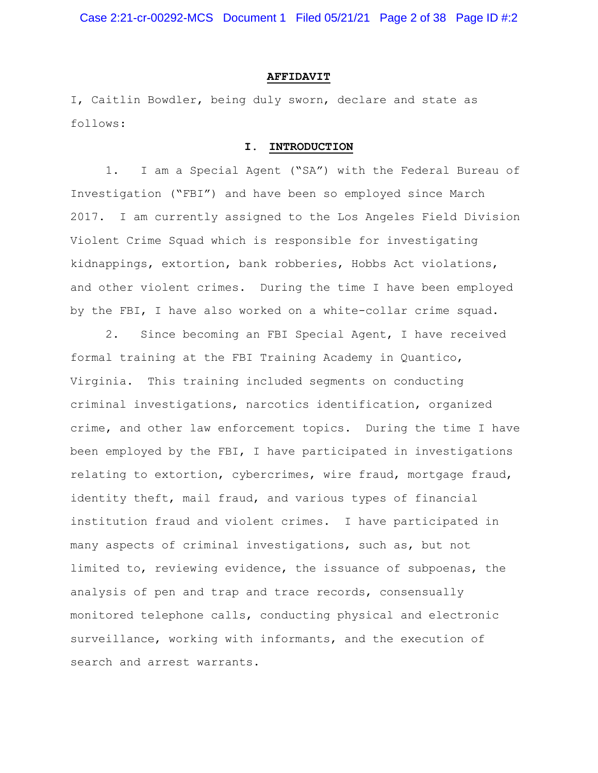Case 2:21-cr-00292-MCS Document 1 Filed 05/21/21 Page 2 of 38 Page ID #:2

#### **AFFIDAVIT**

I, Caitlin Bowdler, being duly sworn, declare and state as follows:

#### **I. INTRODUCTION**

1. I am a Special Agent ("SA") with the Federal Bureau of Investigation ("FBI") and have been so employed since March 2017. I am currently assigned to the Los Angeles Field Division Violent Crime Squad which is responsible for investigating kidnappings, extortion, bank robberies, Hobbs Act violations, and other violent crimes. During the time I have been employed by the FBI, I have also worked on a white-collar crime squad.

2. Since becoming an FBI Special Agent, I have received formal training at the FBI Training Academy in Quantico, Virginia. This training included segments on conducting criminal investigations, narcotics identification, organized crime, and other law enforcement topics. During the time I have been employed by the FBI, I have participated in investigations relating to extortion, cybercrimes, wire fraud, mortgage fraud, identity theft, mail fraud, and various types of financial institution fraud and violent crimes. I have participated in many aspects of criminal investigations, such as, but not limited to, reviewing evidence, the issuance of subpoenas, the analysis of pen and trap and trace records, consensually monitored telephone calls, conducting physical and electronic surveillance, working with informants, and the execution of search and arrest warrants.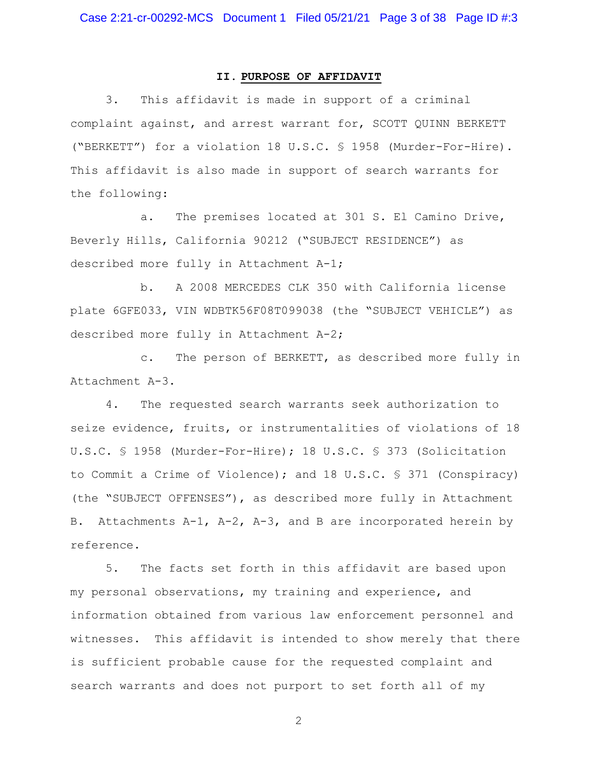### **II. PURPOSE OF AFFIDAVIT**

3. This affidavit is made in support of a criminal complaint against, and arrest warrant for, SCOTT QUINN BERKETT ("BERKETT") for a violation 18 U.S.C. § 1958 (Murder-For-Hire). This affidavit is also made in support of search warrants for the following:

a. The premises located at 301 S. El Camino Drive, Beverly Hills, California 90212 ("SUBJECT RESIDENCE") as described more fully in Attachment A-1;

b. A 2008 MERCEDES CLK 350 with California license plate 6GFE033, VIN WDBTK56F08T099038 (the "SUBJECT VEHICLE") as described more fully in Attachment A-2;

c. The person of BERKETT, as described more fully in Attachment A-3.

4. The requested search warrants seek authorization to seize evidence, fruits, or instrumentalities of violations of 18 U.S.C. § 1958 (Murder-For-Hire); 18 U.S.C. § 373 (Solicitation to Commit a Crime of Violence); and 18 U.S.C. § 371 (Conspiracy) (the "SUBJECT OFFENSES"), as described more fully in Attachment B. Attachments A-1, A-2, A-3, and B are incorporated herein by reference.

5. The facts set forth in this affidavit are based upon my personal observations, my training and experience, and information obtained from various law enforcement personnel and witnesses. This affidavit is intended to show merely that there is sufficient probable cause for the requested complaint and search warrants and does not purport to set forth all of my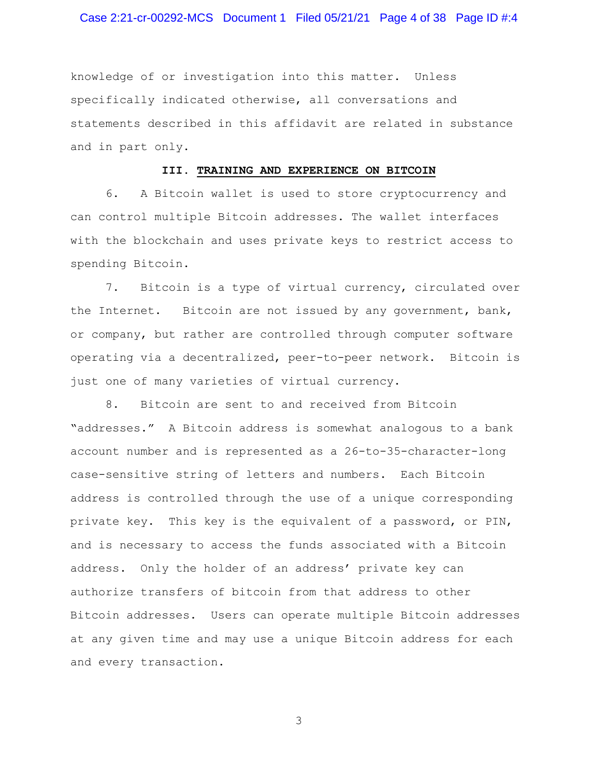## Case 2:21-cr-00292-MCS Document 1 Filed 05/21/21 Page 4 of 38 Page ID #:4

knowledge of or investigation into this matter. Unless specifically indicated otherwise, all conversations and statements described in this affidavit are related in substance and in part only.

#### **III. TRAINING AND EXPERIENCE ON BITCOIN**

6. A Bitcoin wallet is used to store cryptocurrency and can control multiple Bitcoin addresses. The wallet interfaces with the blockchain and uses private keys to restrict access to spending Bitcoin.

7. Bitcoin is a type of virtual currency, circulated over the Internet. Bitcoin are not issued by any government, bank, or company, but rather are controlled through computer software operating via a decentralized, peer-to-peer network. Bitcoin is just one of many varieties of virtual currency.

8. Bitcoin are sent to and received from Bitcoin "addresses." A Bitcoin address is somewhat analogous to a bank account number and is represented as a 26-to-35-character-long case-sensitive string of letters and numbers. Each Bitcoin address is controlled through the use of a unique corresponding private key. This key is the equivalent of a password, or PIN, and is necessary to access the funds associated with a Bitcoin address. Only the holder of an address' private key can authorize transfers of bitcoin from that address to other Bitcoin addresses. Users can operate multiple Bitcoin addresses at any given time and may use a unique Bitcoin address for each and every transaction.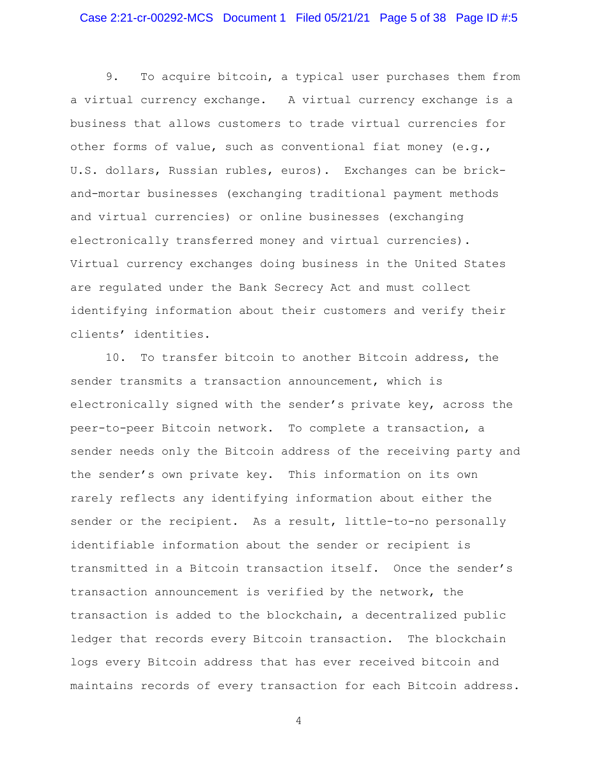9. To acquire bitcoin, a typical user purchases them from a virtual currency exchange. A virtual currency exchange is a business that allows customers to trade virtual currencies for other forms of value, such as conventional fiat money (e.g., U.S. dollars, Russian rubles, euros). Exchanges can be brickand-mortar businesses (exchanging traditional payment methods and virtual currencies) or online businesses (exchanging electronically transferred money and virtual currencies). Virtual currency exchanges doing business in the United States are regulated under the Bank Secrecy Act and must collect identifying information about their customers and verify their clients' identities.

10. To transfer bitcoin to another Bitcoin address, the sender transmits a transaction announcement, which is electronically signed with the sender's private key, across the peer-to-peer Bitcoin network. To complete a transaction, a sender needs only the Bitcoin address of the receiving party and the sender's own private key. This information on its own rarely reflects any identifying information about either the sender or the recipient. As a result, little-to-no personally identifiable information about the sender or recipient is transmitted in a Bitcoin transaction itself. Once the sender's transaction announcement is verified by the network, the transaction is added to the blockchain, a decentralized public ledger that records every Bitcoin transaction. The blockchain logs every Bitcoin address that has ever received bitcoin and maintains records of every transaction for each Bitcoin address.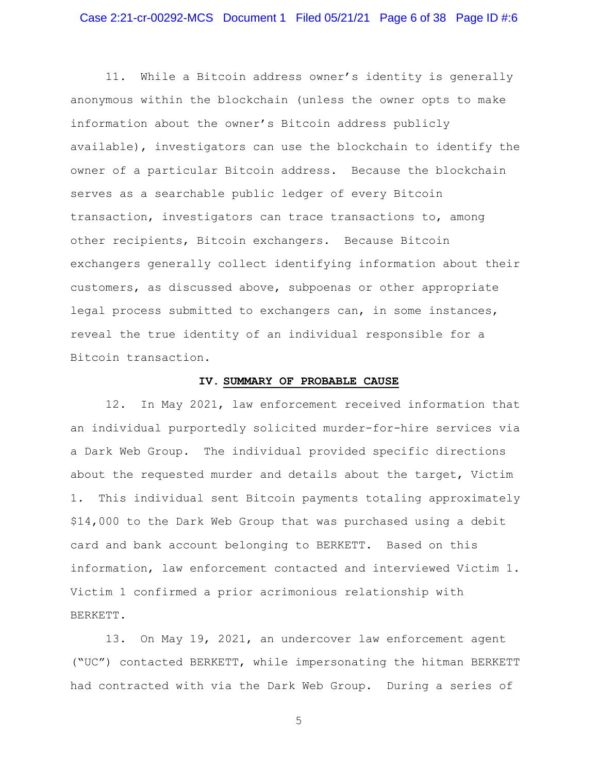11. While a Bitcoin address owner's identity is generally anonymous within the blockchain (unless the owner opts to make information about the owner's Bitcoin address publicly available), investigators can use the blockchain to identify the owner of a particular Bitcoin address. Because the blockchain serves as a searchable public ledger of every Bitcoin transaction, investigators can trace transactions to, among other recipients, Bitcoin exchangers. Because Bitcoin exchangers generally collect identifying information about their customers, as discussed above, subpoenas or other appropriate legal process submitted to exchangers can, in some instances, reveal the true identity of an individual responsible for a Bitcoin transaction.

## **IV. SUMMARY OF PROBABLE CAUSE**

12. In May 2021, law enforcement received information that an individual purportedly solicited murder-for-hire services via a Dark Web Group. The individual provided specific directions about the requested murder and details about the target, Victim 1. This individual sent Bitcoin payments totaling approximately \$14,000 to the Dark Web Group that was purchased using a debit card and bank account belonging to BERKETT. Based on this information, law enforcement contacted and interviewed Victim 1. Victim 1 confirmed a prior acrimonious relationship with BERKETT.

13. On May 19, 2021, an undercover law enforcement agent ("UC") contacted BERKETT, while impersonating the hitman BERKETT had contracted with via the Dark Web Group. During a series of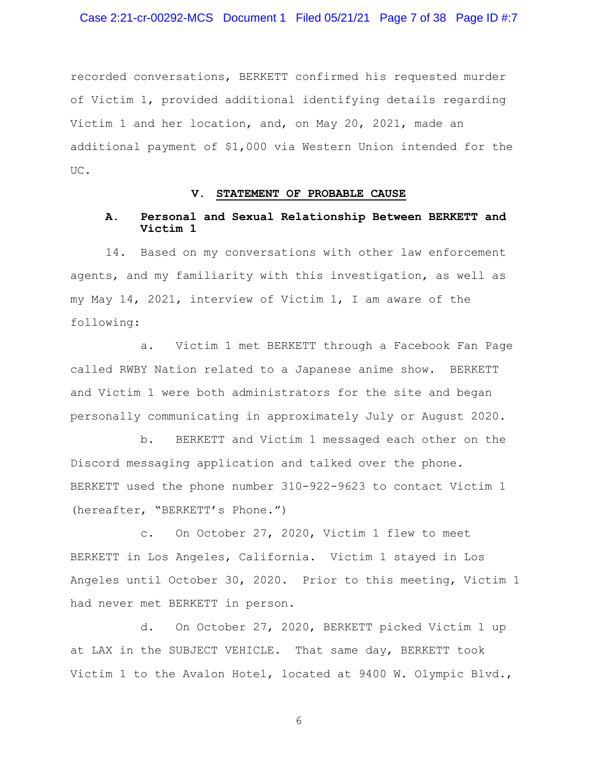recorded conversations, BERKETT confirmed his requested murder of Victim 1, provided additional identifying details regarding Victim 1 and her location, and, on May 20, 2021, made an additional payment of \$1,000 via Western Union intended for the UC.

#### **V. STATEMENT OF PROBABLE CAUSE**

#### **A. Personal and Sexual Relationship Between BERKETT and Victim 1**

14. Based on my conversations with other law enforcement agents, and my familiarity with this investigation, as well as my May 14, 2021, interview of Victim 1, I am aware of the following:

a. Victim 1 met BERKETT through a Facebook Fan Page called RWBY Nation related to a Japanese anime show. BERKETT and Victim 1 were both administrators for the site and began personally communicating in approximately July or August 2020.

b. BERKETT and Victim 1 messaged each other on the Discord messaging application and talked over the phone. BERKETT used the phone number 310-922-9623 to contact Victim 1 (hereafter, "BERKETT's Phone.")

c. On October 27, 2020, Victim 1 flew to meet BERKETT in Los Angeles, California. Victim 1 stayed in Los Angeles until October 30, 2020. Prior to this meeting, Victim 1 had never met BERKETT in person.

d. On October 27, 2020, BERKETT picked Victim 1 up at LAX in the SUBJECT VEHICLE. That same day, BERKETT took Victim 1 to the Avalon Hotel, located at 9400 W. Olympic Blvd.,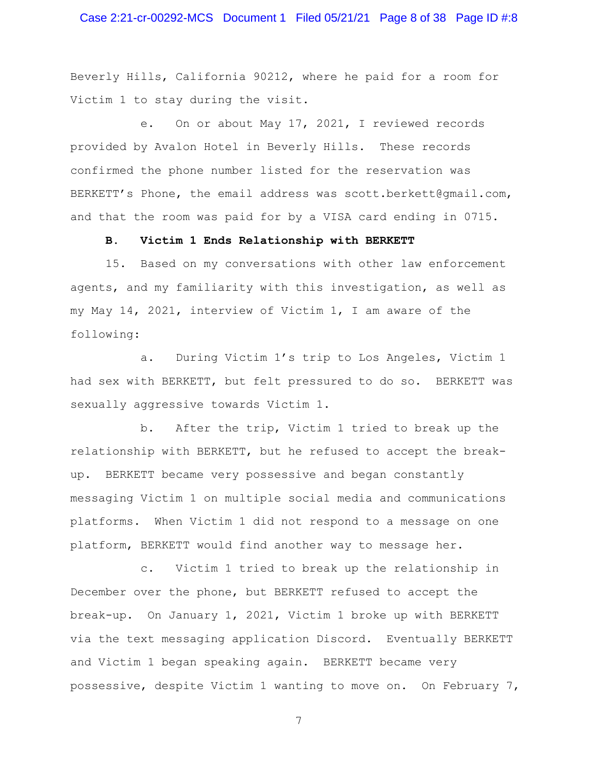## Case 2:21-cr-00292-MCS Document 1 Filed 05/21/21 Page 8 of 38 Page ID #:8

Beverly Hills, California 90212, where he paid for a room for Victim 1 to stay during the visit.

e. On or about May 17, 2021, I reviewed records provided by Avalon Hotel in Beverly Hills. These records confirmed the phone number listed for the reservation was BERKETT's Phone, the email address was scott.berkett@gmail.com, and that the room was paid for by a VISA card ending in 0715.

#### **B. Victim 1 Ends Relationship with BERKETT**

15. Based on my conversations with other law enforcement agents, and my familiarity with this investigation, as well as my May 14, 2021, interview of Victim 1, I am aware of the following:

a. During Victim 1's trip to Los Angeles, Victim 1 had sex with BERKETT, but felt pressured to do so. BERKETT was sexually aggressive towards Victim 1.

b. After the trip, Victim 1 tried to break up the relationship with BERKETT, but he refused to accept the breakup. BERKETT became very possessive and began constantly messaging Victim 1 on multiple social media and communications platforms. When Victim 1 did not respond to a message on one platform, BERKETT would find another way to message her.

c. Victim 1 tried to break up the relationship in December over the phone, but BERKETT refused to accept the break-up. On January 1, 2021, Victim 1 broke up with BERKETT via the text messaging application Discord. Eventually BERKETT and Victim 1 began speaking again. BERKETT became very possessive, despite Victim 1 wanting to move on. On February 7,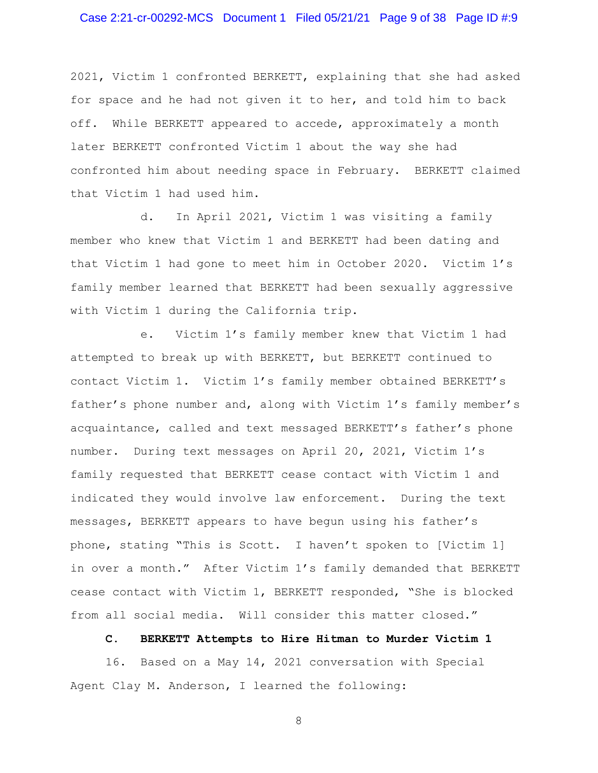2021, Victim 1 confronted BERKETT, explaining that she had asked for space and he had not given it to her, and told him to back off. While BERKETT appeared to accede, approximately a month later BERKETT confronted Victim 1 about the way she had confronted him about needing space in February. BERKETT claimed that Victim 1 had used him.

d. In April 2021, Victim 1 was visiting a family member who knew that Victim 1 and BERKETT had been dating and that Victim 1 had gone to meet him in October 2020. Victim 1's family member learned that BERKETT had been sexually aggressive with Victim 1 during the California trip.

e. Victim 1's family member knew that Victim 1 had attempted to break up with BERKETT, but BERKETT continued to contact Victim 1. Victim 1's family member obtained BERKETT's father's phone number and, along with Victim 1's family member's acquaintance, called and text messaged BERKETT's father's phone number. During text messages on April 20, 2021, Victim 1's family requested that BERKETT cease contact with Victim 1 and indicated they would involve law enforcement. During the text messages, BERKETT appears to have begun using his father's phone, stating "This is Scott. I haven't spoken to [Victim 1] in over a month." After Victim 1's family demanded that BERKETT cease contact with Victim 1, BERKETT responded, "She is blocked from all social media. Will consider this matter closed."

**C. BERKETT Attempts to Hire Hitman to Murder Victim 1** 

16. Based on a May 14, 2021 conversation with Special Agent Clay M. Anderson, I learned the following: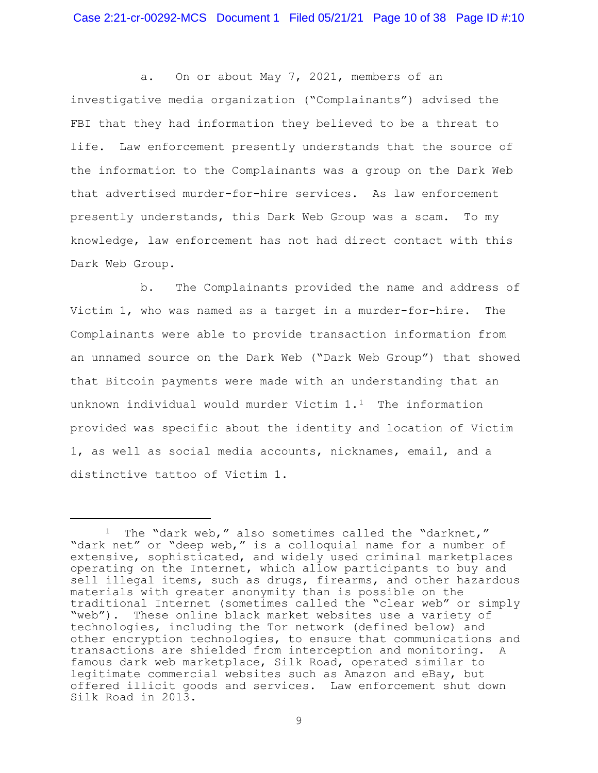a. On or about May 7, 2021, members of an investigative media organization ("Complainants") advised the FBI that they had information they believed to be a threat to life. Law enforcement presently understands that the source of the information to the Complainants was a group on the Dark Web that advertised murder-for-hire services. As law enforcement presently understands, this Dark Web Group was a scam. To my knowledge, law enforcement has not had direct contact with this Dark Web Group.

b. The Complainants provided the name and address of Victim 1, who was named as a target in a murder-for-hire. The Complainants were able to provide transaction information from an unnamed source on the Dark Web ("Dark Web Group") that showed that Bitcoin payments were made with an understanding that an unknown individual would murder Victim  $1.1$  The information provided was specific about the identity and location of Victim 1, as well as social media accounts, nicknames, email, and a distinctive tattoo of Victim 1.

<sup>&</sup>lt;sup>1</sup> The "dark web," also sometimes called the "darknet," "dark net" or "deep web," is a colloquial name for a number of extensive, sophisticated, and widely used criminal marketplaces operating on the Internet, which allow participants to buy and sell illegal items, such as drugs, firearms, and other hazardous materials with greater anonymity than is possible on the traditional Internet (sometimes called the "clear web" or simply "web"). These online black market websites use a variety of technologies, including the Tor network (defined below) and other encryption technologies, to ensure that communications and transactions are shielded from interception and monitoring. A famous dark web marketplace, Silk Road, operated similar to legitimate commercial websites such as Amazon and eBay, but offered illicit goods and services. Law enforcement shut down Silk Road in 2013.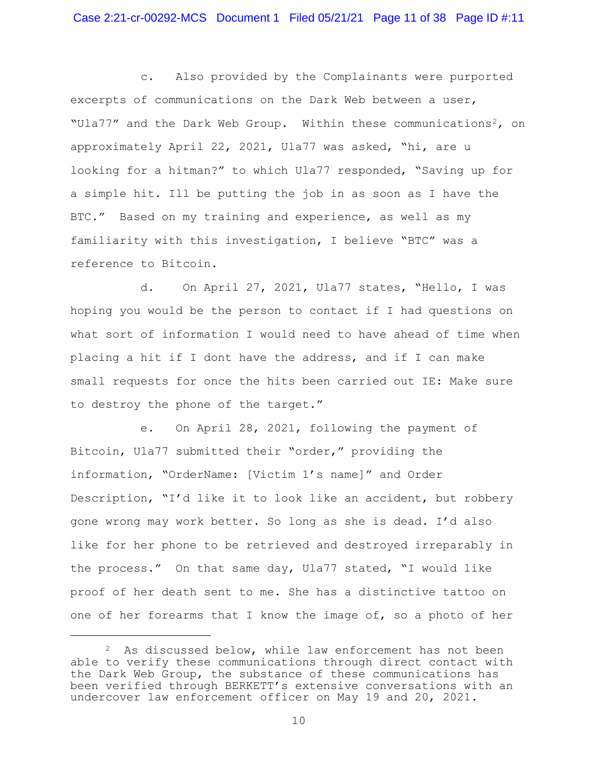c. Also provided by the Complainants were purported excerpts of communications on the Dark Web between a user, "Ula77" and the Dark Web Group. Within these communications<sup>2</sup>, on approximately April 22, 2021, Ula77 was asked, "hi, are u looking for a hitman?" to which Ula77 responded, "Saving up for a simple hit. Ill be putting the job in as soon as I have the BTC." Based on my training and experience, as well as my familiarity with this investigation, I believe "BTC" was a reference to Bitcoin.

d. On April 27, 2021, Ula77 states, "Hello, I was hoping you would be the person to contact if I had questions on what sort of information I would need to have ahead of time when placing a hit if I dont have the address, and if I can make small requests for once the hits been carried out IE: Make sure to destroy the phone of the target."

e. On April 28, 2021, following the payment of Bitcoin, Ula77 submitted their "order," providing the information, "OrderName: [Victim 1's name]" and Order Description, "I'd like it to look like an accident, but robbery gone wrong may work better. So long as she is dead. I'd also like for her phone to be retrieved and destroyed irreparably in the process." On that same day, Ula77 stated, "I would like proof of her death sent to me. She has a distinctive tattoo on one of her forearms that I know the image of, so a photo of her

 $2$  As discussed below, while law enforcement has not been able to verify these communications through direct contact with the Dark Web Group, the substance of these communications has been verified through BERKETT's extensive conversations with an undercover law enforcement officer on May 19 and 20, 2021.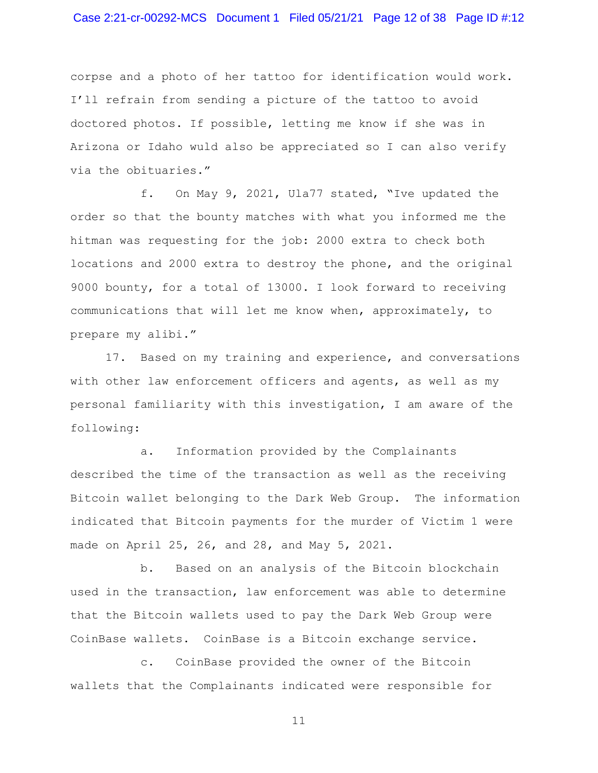## Case 2:21-cr-00292-MCS Document 1 Filed 05/21/21 Page 12 of 38 Page ID #:12

corpse and a photo of her tattoo for identification would work. I'll refrain from sending a picture of the tattoo to avoid doctored photos. If possible, letting me know if she was in Arizona or Idaho wuld also be appreciated so I can also verify via the obituaries."

f. On May 9, 2021, Ula77 stated, "Ive updated the order so that the bounty matches with what you informed me the hitman was requesting for the job: 2000 extra to check both locations and 2000 extra to destroy the phone, and the original 9000 bounty, for a total of 13000. I look forward to receiving communications that will let me know when, approximately, to prepare my alibi."

17. Based on my training and experience, and conversations with other law enforcement officers and agents, as well as my personal familiarity with this investigation, I am aware of the following:

a. Information provided by the Complainants described the time of the transaction as well as the receiving Bitcoin wallet belonging to the Dark Web Group. The information indicated that Bitcoin payments for the murder of Victim 1 were made on April 25, 26, and 28, and May 5, 2021.

b. Based on an analysis of the Bitcoin blockchain used in the transaction, law enforcement was able to determine that the Bitcoin wallets used to pay the Dark Web Group were CoinBase wallets. CoinBase is a Bitcoin exchange service.

c. CoinBase provided the owner of the Bitcoin wallets that the Complainants indicated were responsible for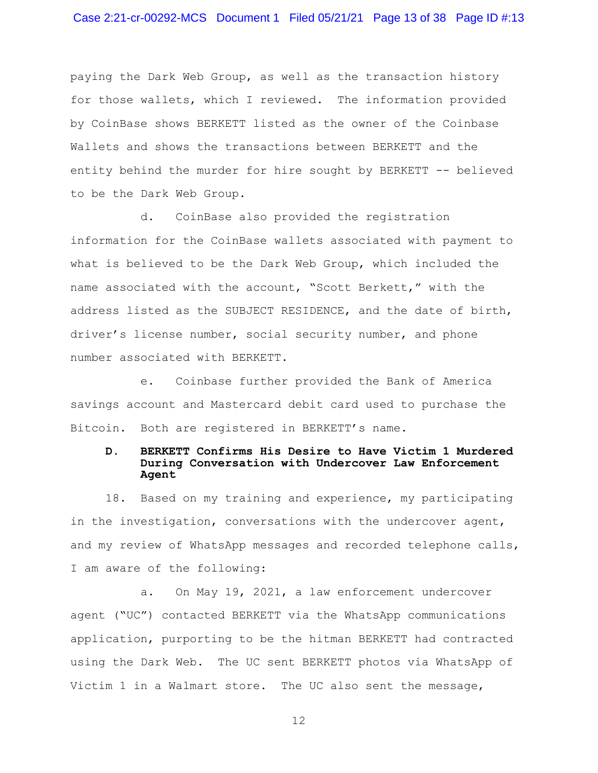paying the Dark Web Group, as well as the transaction history for those wallets, which I reviewed. The information provided by CoinBase shows BERKETT listed as the owner of the Coinbase Wallets and shows the transactions between BERKETT and the entity behind the murder for hire sought by BERKETT -- believed to be the Dark Web Group.

d. CoinBase also provided the registration information for the CoinBase wallets associated with payment to what is believed to be the Dark Web Group, which included the name associated with the account, "Scott Berkett," with the address listed as the SUBJECT RESIDENCE, and the date of birth, driver's license number, social security number, and phone number associated with BERKETT.

e. Coinbase further provided the Bank of America savings account and Mastercard debit card used to purchase the Bitcoin. Both are registered in BERKETT's name.

### **D. BERKETT Confirms His Desire to Have Victim 1 Murdered During Conversation with Undercover Law Enforcement Agent**

18. Based on my training and experience, my participating in the investigation, conversations with the undercover agent, and my review of WhatsApp messages and recorded telephone calls, I am aware of the following:

a. On May 19, 2021, a law enforcement undercover agent ("UC") contacted BERKETT via the WhatsApp communications application, purporting to be the hitman BERKETT had contracted using the Dark Web. The UC sent BERKETT photos via WhatsApp of Victim 1 in a Walmart store. The UC also sent the message,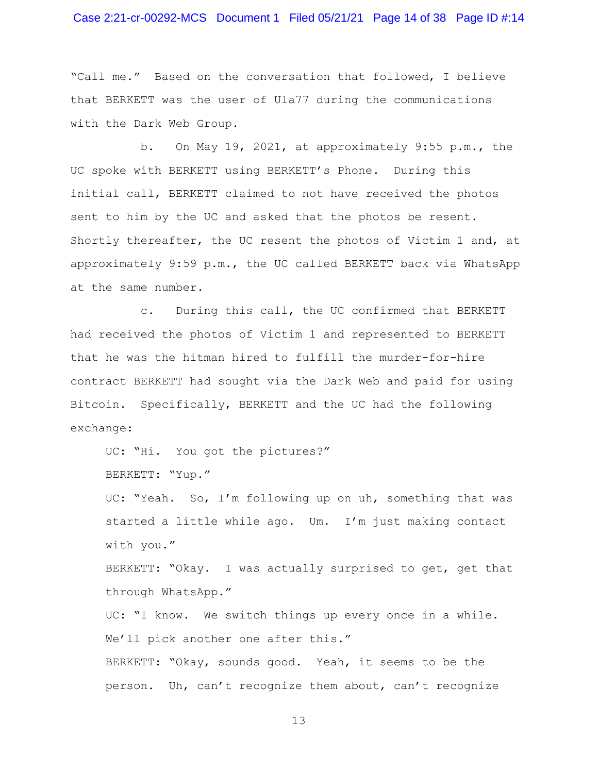### Case 2:21-cr-00292-MCS Document 1 Filed 05/21/21 Page 14 of 38 Page ID #:14

"Call me." Based on the conversation that followed, I believe that BERKETT was the user of Ula77 during the communications with the Dark Web Group.

b. On May 19, 2021, at approximately 9:55 p.m., the UC spoke with BERKETT using BERKETT's Phone. During this initial call, BERKETT claimed to not have received the photos sent to him by the UC and asked that the photos be resent. Shortly thereafter, the UC resent the photos of Victim 1 and, at approximately 9:59 p.m., the UC called BERKETT back via WhatsApp at the same number.

c. During this call, the UC confirmed that BERKETT had received the photos of Victim 1 and represented to BERKETT that he was the hitman hired to fulfill the murder-for-hire contract BERKETT had sought via the Dark Web and paid for using Bitcoin. Specifically, BERKETT and the UC had the following exchange:

UC: "Hi. You got the pictures?"

BERKETT: "Yup."

UC: "Yeah. So, I'm following up on uh, something that was started a little while ago. Um. I'm just making contact with you."

BERKETT: "Okay. I was actually surprised to get, get that through WhatsApp."

UC: "I know. We switch things up every once in a while. We'll pick another one after this."

BERKETT: "Okay, sounds good. Yeah, it seems to be the person. Uh, can't recognize them about, can't recognize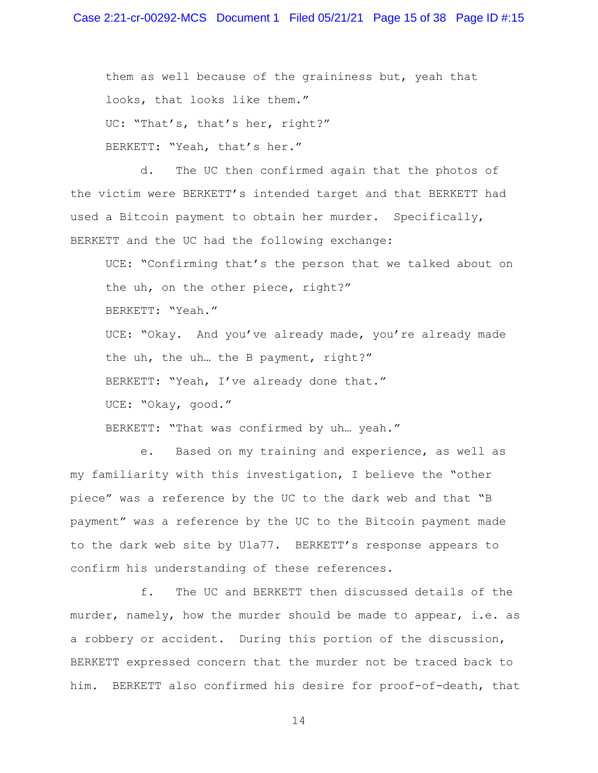them as well because of the graininess but, yeah that looks, that looks like them." UC: "That's, that's her, right?" BERKETT: "Yeah, that's her."

d. The UC then confirmed again that the photos of the victim were BERKETT's intended target and that BERKETT had used a Bitcoin payment to obtain her murder. Specifically, BERKETT and the UC had the following exchange:

UCE: "Confirming that's the person that we talked about on the uh, on the other piece, right?" BERKETT: "Yeah." UCE: "Okay. And you've already made, you're already made the uh, the uh… the B payment, right?" BERKETT: "Yeah, I've already done that." UCE: "Okay, good."

BERKETT: "That was confirmed by uh… yeah."

e. Based on my training and experience, as well as my familiarity with this investigation, I believe the "other piece" was a reference by the UC to the dark web and that "B payment" was a reference by the UC to the Bitcoin payment made to the dark web site by Ula77. BERKETT's response appears to confirm his understanding of these references.

f. The UC and BERKETT then discussed details of the murder, namely, how the murder should be made to appear, i.e. as a robbery or accident. During this portion of the discussion, BERKETT expressed concern that the murder not be traced back to him. BERKETT also confirmed his desire for proof-of-death, that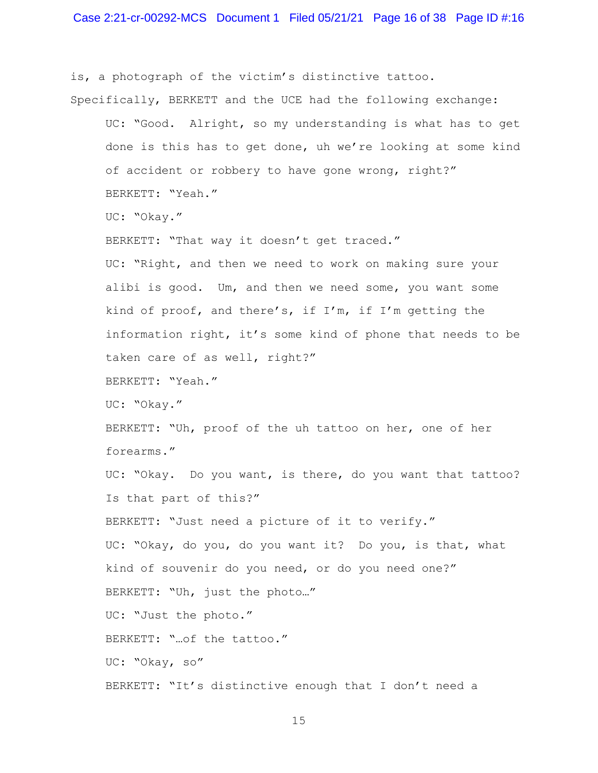is, a photograph of the victim's distinctive tattoo. Specifically, BERKETT and the UCE had the following exchange:

UC: "Good. Alright, so my understanding is what has to get done is this has to get done, uh we're looking at some kind of accident or robbery to have gone wrong, right?" BERKETT: "Yeah." UC: "Okay." BERKETT: "That way it doesn't get traced." UC: "Right, and then we need to work on making sure your alibi is good. Um, and then we need some, you want some kind of proof, and there's, if I'm, if I'm getting the information right, it's some kind of phone that needs to be taken care of as well, right?" BERKETT: "Yeah." UC: "Okay." BERKETT: "Uh, proof of the uh tattoo on her, one of her forearms." UC: "Okay. Do you want, is there, do you want that tattoo? Is that part of this?" BERKETT: "Just need a picture of it to verify." UC: "Okay, do you, do you want it? Do you, is that, what kind of souvenir do you need, or do you need one?" BERKETT: "Uh, just the photo…" UC: "Just the photo." BERKETT: "…of the tattoo." UC: "Okay, so" BERKETT: "It's distinctive enough that I don't need a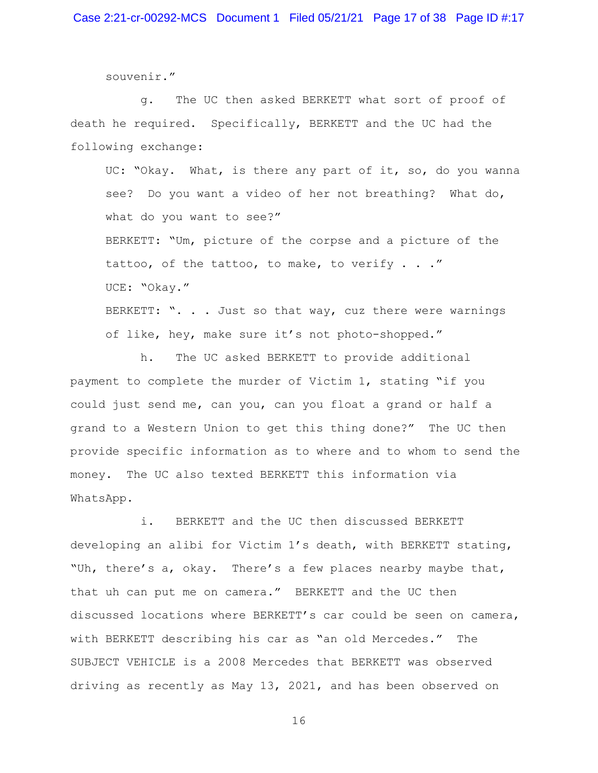souvenir."

g. The UC then asked BERKETT what sort of proof of death he required. Specifically, BERKETT and the UC had the following exchange:

UC: "Okay. What, is there any part of it, so, do you wanna see? Do you want a video of her not breathing? What do, what do you want to see?"

BERKETT: "Um, picture of the corpse and a picture of the tattoo, of the tattoo, to make, to verify  $\ldots$ ." UCE: "Okay."

BERKETT: ". . . Just so that way, cuz there were warnings of like, hey, make sure it's not photo-shopped."

h. The UC asked BERKETT to provide additional payment to complete the murder of Victim 1, stating "if you could just send me, can you, can you float a grand or half a grand to a Western Union to get this thing done?" The UC then provide specific information as to where and to whom to send the money. The UC also texted BERKETT this information via WhatsApp.

i. BERKETT and the UC then discussed BERKETT developing an alibi for Victim 1's death, with BERKETT stating, "Uh, there's a, okay. There's a few places nearby maybe that, that uh can put me on camera." BERKETT and the UC then discussed locations where BERKETT's car could be seen on camera, with BERKETT describing his car as "an old Mercedes." The SUBJECT VEHICLE is a 2008 Mercedes that BERKETT was observed driving as recently as May 13, 2021, and has been observed on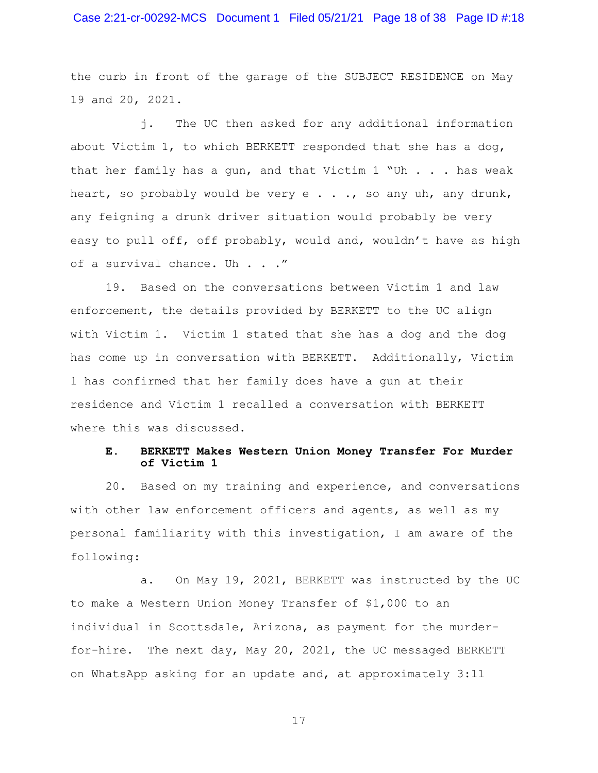## Case 2:21-cr-00292-MCS Document 1 Filed 05/21/21 Page 18 of 38 Page ID #:18

the curb in front of the garage of the SUBJECT RESIDENCE on May 19 and 20, 2021.

j. The UC then asked for any additional information about Victim 1, to which BERKETT responded that she has a dog, that her family has a gun, and that Victim 1 "Uh . . . has weak heart, so probably would be very  $e \cdot \cdot \cdot$ , so any uh, any drunk, any feigning a drunk driver situation would probably be very easy to pull off, off probably, would and, wouldn't have as high of a survival chance. Uh . . ."

19. Based on the conversations between Victim 1 and law enforcement, the details provided by BERKETT to the UC align with Victim 1. Victim 1 stated that she has a dog and the dog has come up in conversation with BERKETT. Additionally, Victim 1 has confirmed that her family does have a gun at their residence and Victim 1 recalled a conversation with BERKETT where this was discussed.

### **E. BERKETT Makes Western Union Money Transfer For Murder of Victim 1**

20. Based on my training and experience, and conversations with other law enforcement officers and agents, as well as my personal familiarity with this investigation, I am aware of the following:

a. On May 19, 2021, BERKETT was instructed by the UC to make a Western Union Money Transfer of \$1,000 to an individual in Scottsdale, Arizona, as payment for the murderfor-hire. The next day, May 20, 2021, the UC messaged BERKETT on WhatsApp asking for an update and, at approximately 3:11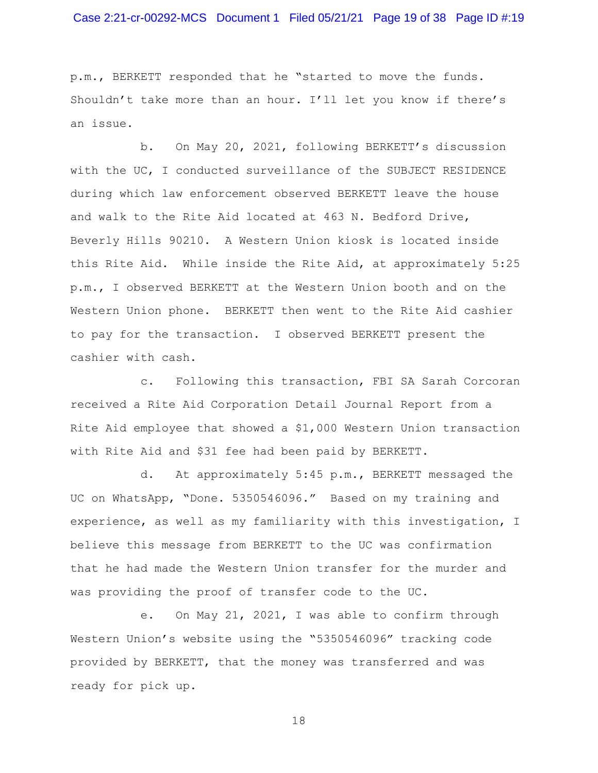## Case 2:21-cr-00292-MCS Document 1 Filed 05/21/21 Page 19 of 38 Page ID #:19

p.m., BERKETT responded that he "started to move the funds. Shouldn't take more than an hour. I'll let you know if there's an issue.

b. On May 20, 2021, following BERKETT's discussion with the UC, I conducted surveillance of the SUBJECT RESIDENCE during which law enforcement observed BERKETT leave the house and walk to the Rite Aid located at 463 N. Bedford Drive, Beverly Hills 90210. A Western Union kiosk is located inside this Rite Aid. While inside the Rite Aid, at approximately 5:25 p.m., I observed BERKETT at the Western Union booth and on the Western Union phone. BERKETT then went to the Rite Aid cashier to pay for the transaction. I observed BERKETT present the cashier with cash.

c. Following this transaction, FBI SA Sarah Corcoran received a Rite Aid Corporation Detail Journal Report from a Rite Aid employee that showed a \$1,000 Western Union transaction with Rite Aid and \$31 fee had been paid by BERKETT.

d. At approximately 5:45 p.m., BERKETT messaged the UC on WhatsApp, "Done. 5350546096." Based on my training and experience, as well as my familiarity with this investigation, I believe this message from BERKETT to the UC was confirmation that he had made the Western Union transfer for the murder and was providing the proof of transfer code to the UC.

e. On May 21, 2021, I was able to confirm through Western Union's website using the "5350546096" tracking code provided by BERKETT, that the money was transferred and was ready for pick up.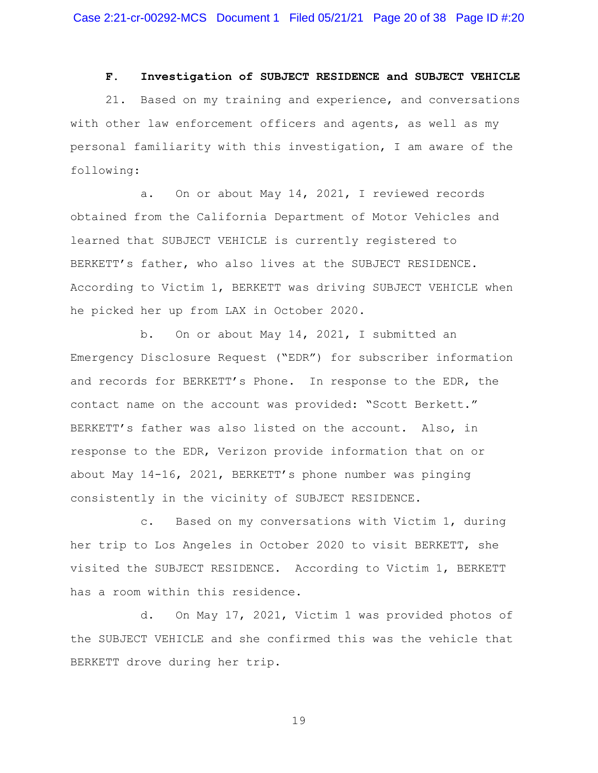#### **F. Investigation of SUBJECT RESIDENCE and SUBJECT VEHICLE**

21. Based on my training and experience, and conversations with other law enforcement officers and agents, as well as my personal familiarity with this investigation, I am aware of the following:

a. On or about May 14, 2021, I reviewed records obtained from the California Department of Motor Vehicles and learned that SUBJECT VEHICLE is currently registered to BERKETT's father, who also lives at the SUBJECT RESIDENCE. According to Victim 1, BERKETT was driving SUBJECT VEHICLE when he picked her up from LAX in October 2020.

b. On or about May 14, 2021, I submitted an Emergency Disclosure Request ("EDR") for subscriber information and records for BERKETT's Phone. In response to the EDR, the contact name on the account was provided: "Scott Berkett." BERKETT's father was also listed on the account. Also, in response to the EDR, Verizon provide information that on or about May 14-16, 2021, BERKETT's phone number was pinging consistently in the vicinity of SUBJECT RESIDENCE.

c. Based on my conversations with Victim 1, during her trip to Los Angeles in October 2020 to visit BERKETT, she visited the SUBJECT RESIDENCE. According to Victim 1, BERKETT has a room within this residence.

d. On May 17, 2021, Victim 1 was provided photos of the SUBJECT VEHICLE and she confirmed this was the vehicle that BERKETT drove during her trip.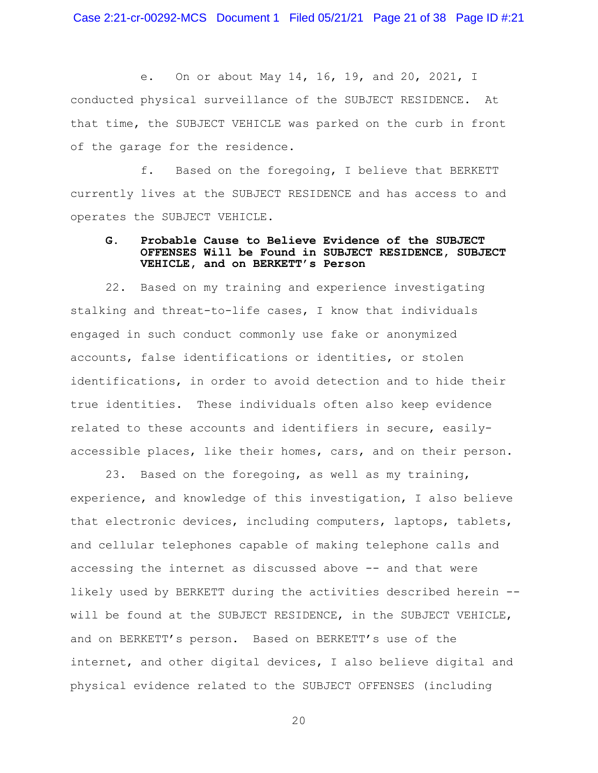Case 2:21-cr-00292-MCS Document 1 Filed 05/21/21 Page 21 of 38 Page ID #:21

e. On or about May 14, 16, 19, and 20, 2021, I conducted physical surveillance of the SUBJECT RESIDENCE. At that time, the SUBJECT VEHICLE was parked on the curb in front of the garage for the residence.

f. Based on the foregoing, I believe that BERKETT currently lives at the SUBJECT RESIDENCE and has access to and operates the SUBJECT VEHICLE.

### **G. Probable Cause to Believe Evidence of the SUBJECT OFFENSES Will be Found in SUBJECT RESIDENCE, SUBJECT VEHICLE, and on BERKETT's Person**

22. Based on my training and experience investigating stalking and threat-to-life cases, I know that individuals engaged in such conduct commonly use fake or anonymized accounts, false identifications or identities, or stolen identifications, in order to avoid detection and to hide their true identities. These individuals often also keep evidence related to these accounts and identifiers in secure, easilyaccessible places, like their homes, cars, and on their person.

23. Based on the foregoing, as well as my training, experience, and knowledge of this investigation, I also believe that electronic devices, including computers, laptops, tablets, and cellular telephones capable of making telephone calls and accessing the internet as discussed above -- and that were likely used by BERKETT during the activities described herein - will be found at the SUBJECT RESIDENCE, in the SUBJECT VEHICLE, and on BERKETT's person. Based on BERKETT's use of the internet, and other digital devices, I also believe digital and physical evidence related to the SUBJECT OFFENSES (including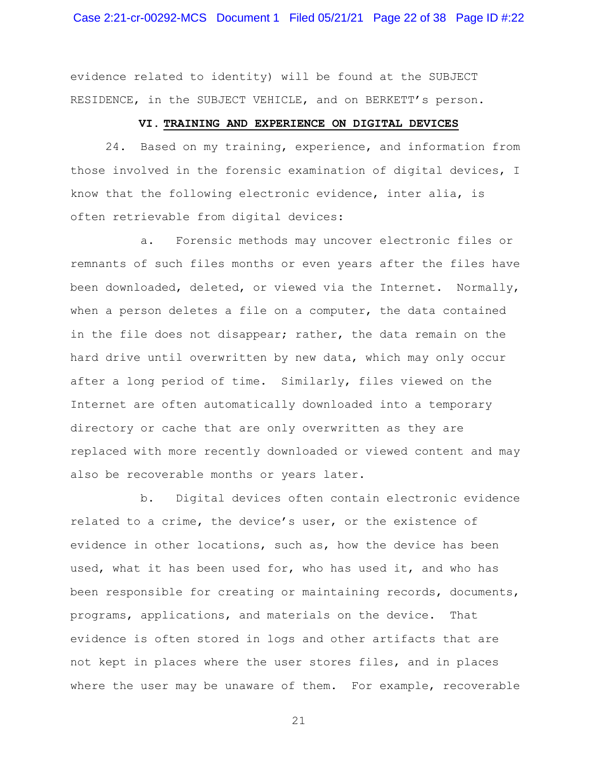evidence related to identity) will be found at the SUBJECT RESIDENCE, in the SUBJECT VEHICLE, and on BERKETT's person.

#### **VI. TRAINING AND EXPERIENCE ON DIGITAL DEVICES**

24. Based on my training, experience, and information from those involved in the forensic examination of digital devices, I know that the following electronic evidence, inter alia, is often retrievable from digital devices:

a. Forensic methods may uncover electronic files or remnants of such files months or even years after the files have been downloaded, deleted, or viewed via the Internet. Normally, when a person deletes a file on a computer, the data contained in the file does not disappear; rather, the data remain on the hard drive until overwritten by new data, which may only occur after a long period of time. Similarly, files viewed on the Internet are often automatically downloaded into a temporary directory or cache that are only overwritten as they are replaced with more recently downloaded or viewed content and may also be recoverable months or years later.

b. Digital devices often contain electronic evidence related to a crime, the device's user, or the existence of evidence in other locations, such as, how the device has been used, what it has been used for, who has used it, and who has been responsible for creating or maintaining records, documents, programs, applications, and materials on the device. That evidence is often stored in logs and other artifacts that are not kept in places where the user stores files, and in places where the user may be unaware of them. For example, recoverable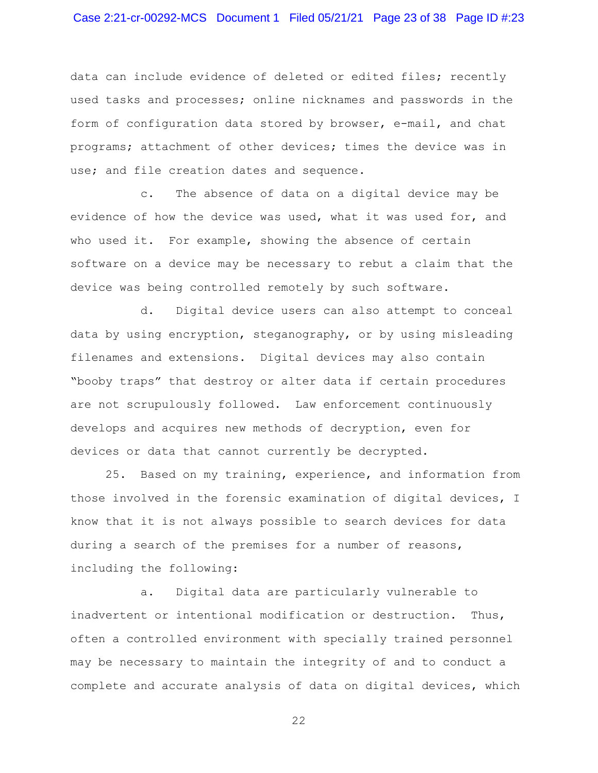## Case 2:21-cr-00292-MCS Document 1 Filed 05/21/21 Page 23 of 38 Page ID #:23

data can include evidence of deleted or edited files; recently used tasks and processes; online nicknames and passwords in the form of configuration data stored by browser, e-mail, and chat programs; attachment of other devices; times the device was in use; and file creation dates and sequence.

c. The absence of data on a digital device may be evidence of how the device was used, what it was used for, and who used it. For example, showing the absence of certain software on a device may be necessary to rebut a claim that the device was being controlled remotely by such software.

d. Digital device users can also attempt to conceal data by using encryption, steganography, or by using misleading filenames and extensions. Digital devices may also contain "booby traps" that destroy or alter data if certain procedures are not scrupulously followed. Law enforcement continuously develops and acquires new methods of decryption, even for devices or data that cannot currently be decrypted.

25. Based on my training, experience, and information from those involved in the forensic examination of digital devices, I know that it is not always possible to search devices for data during a search of the premises for a number of reasons, including the following:

a. Digital data are particularly vulnerable to inadvertent or intentional modification or destruction. Thus, often a controlled environment with specially trained personnel may be necessary to maintain the integrity of and to conduct a complete and accurate analysis of data on digital devices, which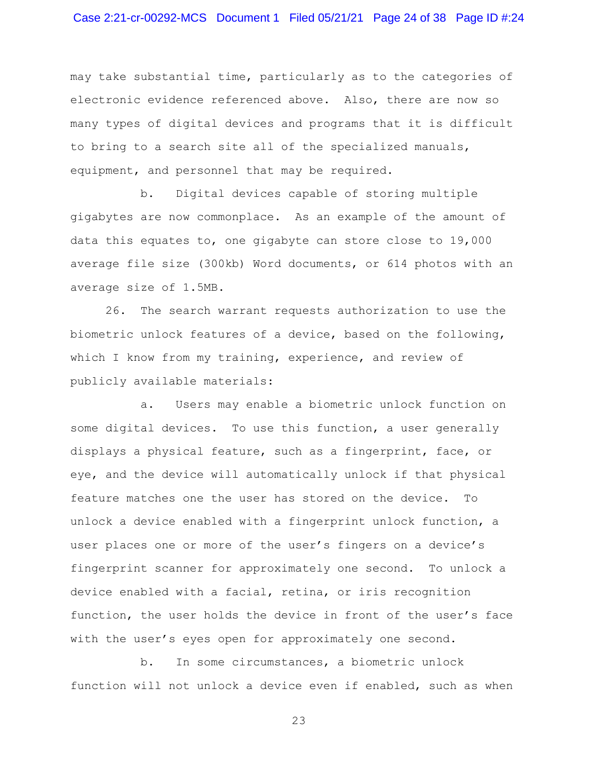may take substantial time, particularly as to the categories of electronic evidence referenced above. Also, there are now so many types of digital devices and programs that it is difficult to bring to a search site all of the specialized manuals, equipment, and personnel that may be required.

b. Digital devices capable of storing multiple gigabytes are now commonplace. As an example of the amount of data this equates to, one gigabyte can store close to 19,000 average file size (300kb) Word documents, or 614 photos with an average size of 1.5MB.

26. The search warrant requests authorization to use the biometric unlock features of a device, based on the following, which I know from my training, experience, and review of publicly available materials:

a. Users may enable a biometric unlock function on some digital devices. To use this function, a user generally displays a physical feature, such as a fingerprint, face, or eye, and the device will automatically unlock if that physical feature matches one the user has stored on the device. To unlock a device enabled with a fingerprint unlock function, a user places one or more of the user's fingers on a device's fingerprint scanner for approximately one second. To unlock a device enabled with a facial, retina, or iris recognition function, the user holds the device in front of the user's face with the user's eyes open for approximately one second.

b. In some circumstances, a biometric unlock function will not unlock a device even if enabled, such as when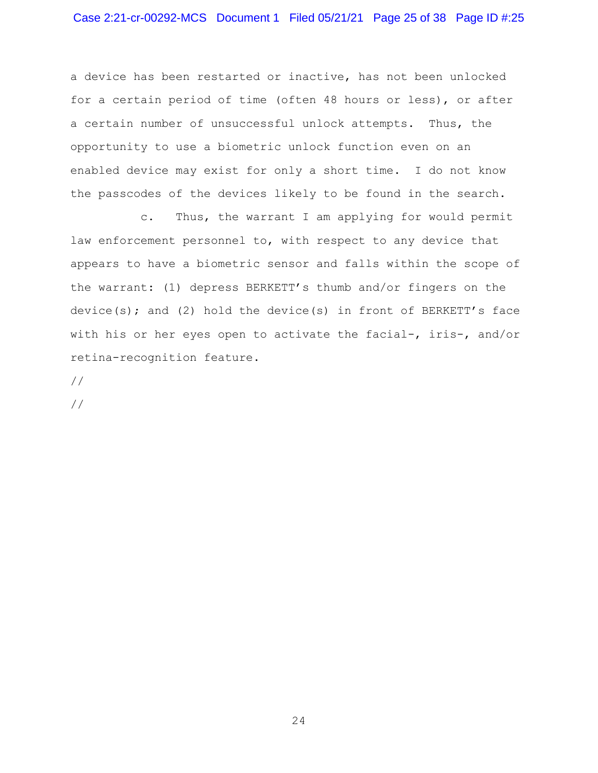## Case 2:21-cr-00292-MCS Document 1 Filed 05/21/21 Page 25 of 38 Page ID #:25

a device has been restarted or inactive, has not been unlocked for a certain period of time (often 48 hours or less), or after a certain number of unsuccessful unlock attempts. Thus, the opportunity to use a biometric unlock function even on an enabled device may exist for only a short time. I do not know the passcodes of the devices likely to be found in the search.

c. Thus, the warrant I am applying for would permit law enforcement personnel to, with respect to any device that appears to have a biometric sensor and falls within the scope of the warrant: (1) depress BERKETT's thumb and/or fingers on the device(s); and (2) hold the device(s) in front of BERKETT's face with his or her eyes open to activate the facial-, iris-, and/or retina-recognition feature.

//

//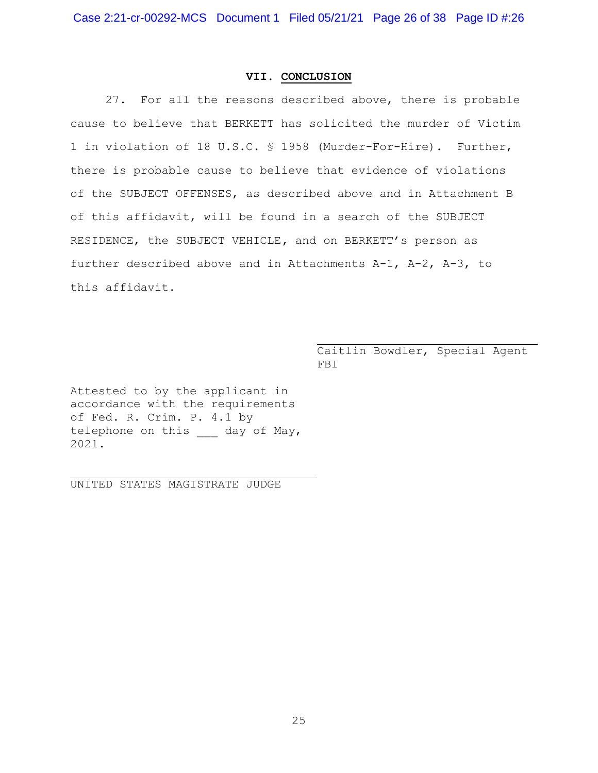### **VII. CONCLUSION**

27. For all the reasons described above, there is probable cause to believe that BERKETT has solicited the murder of Victim 1 in violation of 18 U.S.C. § 1958 (Murder-For-Hire). Further, there is probable cause to believe that evidence of violations of the SUBJECT OFFENSES, as described above and in Attachment B of this affidavit, will be found in a search of the SUBJECT RESIDENCE, the SUBJECT VEHICLE**,** and on BERKETT's person as further described above and in Attachments A-1, A-2, A-3, to this affidavit.

> Caitlin Bowdler, Special Agent FBI

Attested to by the applicant in accordance with the requirements of Fed. R. Crim. P. 4.1 by telephone on this day of May, 2021.

UNITED STATES MAGISTRATE JUDGE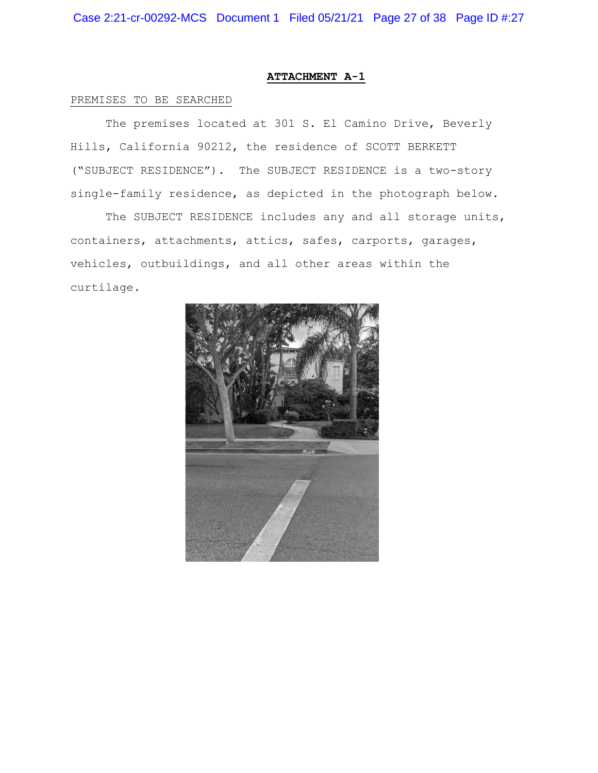### **ATTACHMENT A-1**

#### PREMISES TO BE SEARCHED

The premises located at 301 S. El Camino Drive, Beverly Hills, California 90212, the residence of SCOTT BERKETT ("SUBJECT RESIDENCE"). The SUBJECT RESIDENCE is a two-story single-family residence, as depicted in the photograph below.

The SUBJECT RESIDENCE includes any and all storage units, containers, attachments, attics, safes, carports, garages, vehicles, outbuildings, and all other areas within the curtilage.

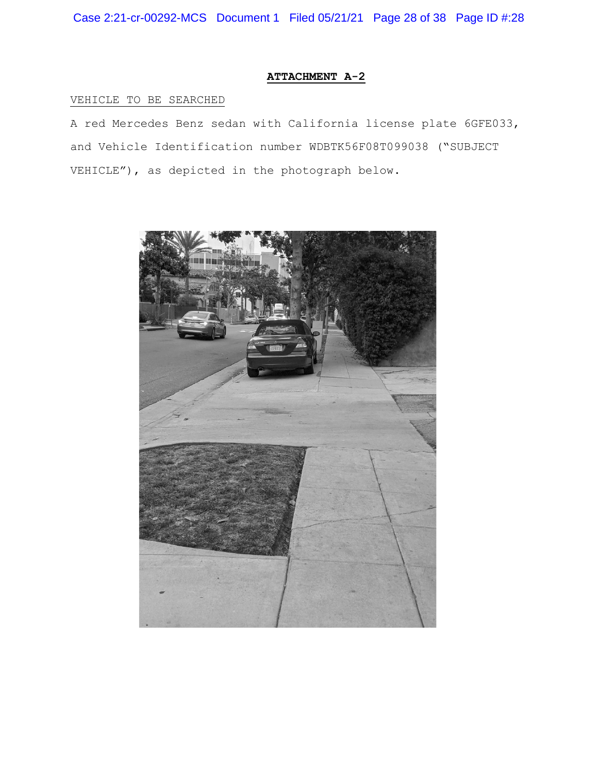Case 2:21-cr-00292-MCS Document 1 Filed 05/21/21 Page 28 of 38 Page ID #:28

## **ATTACHMENT A-2**

## VEHICLE TO BE SEARCHED

A red Mercedes Benz sedan with California license plate 6GFE033, and Vehicle Identification number WDBTK56F08T099038 ("SUBJECT VEHICLE"), as depicted in the photograph below.

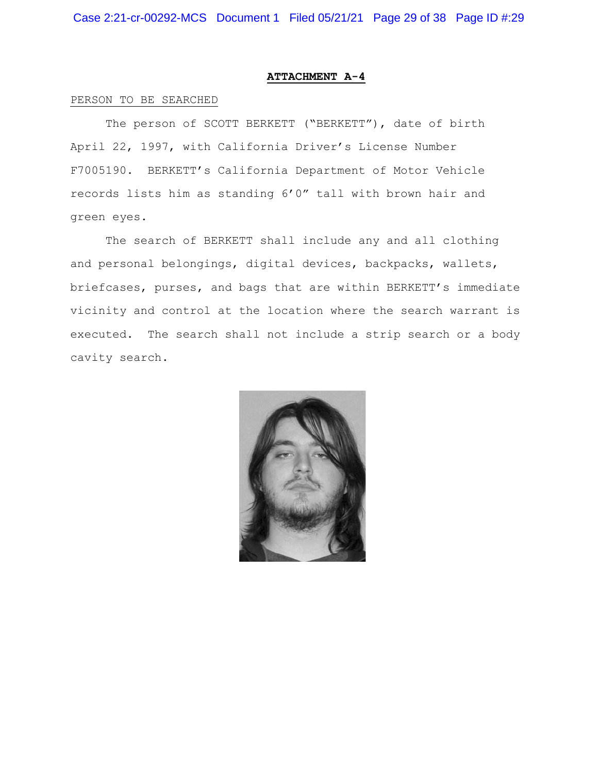#### **ATTACHMENT A-4**

#### PERSON TO BE SEARCHED

The person of SCOTT BERKETT ("BERKETT"), date of birth April 22, 1997, with California Driver's License Number F7005190. BERKETT's California Department of Motor Vehicle records lists him as standing 6'0" tall with brown hair and green eyes.

The search of BERKETT shall include any and all clothing and personal belongings, digital devices, backpacks, wallets, briefcases, purses, and bags that are within BERKETT's immediate vicinity and control at the location where the search warrant is executed. The search shall not include a strip search or a body cavity search.

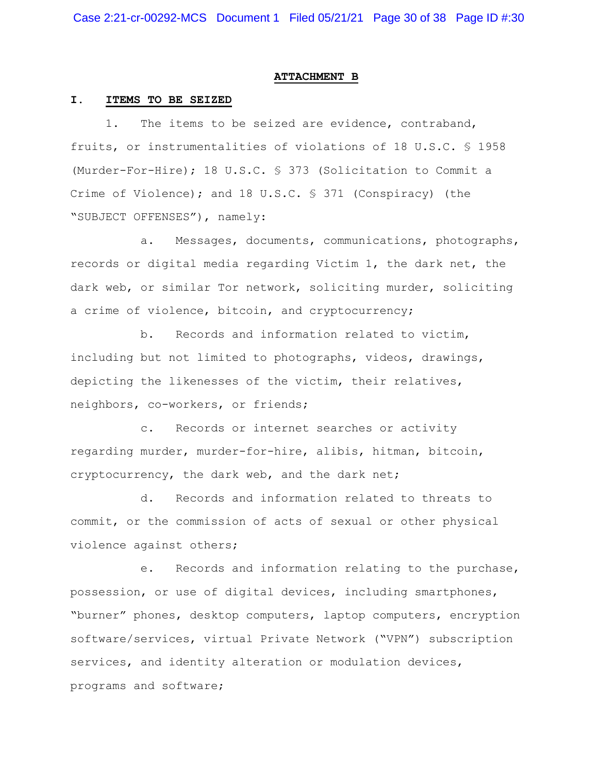#### **ATTACHMENT B**

#### **I. ITEMS TO BE SEIZED**

1. The items to be seized are evidence, contraband, fruits, or instrumentalities of violations of 18 U.S.C. § 1958 (Murder-For-Hire); 18 U.S.C. § 373 (Solicitation to Commit a Crime of Violence); and 18 U.S.C. § 371 (Conspiracy) (the "SUBJECT OFFENSES"), namely:

a. Messages, documents, communications, photographs, records or digital media regarding Victim 1, the dark net, the dark web, or similar Tor network, soliciting murder, soliciting a crime of violence, bitcoin, and cryptocurrency;

b. Records and information related to victim, including but not limited to photographs, videos, drawings, depicting the likenesses of the victim, their relatives, neighbors, co-workers, or friends;

c. Records or internet searches or activity regarding murder, murder-for-hire, alibis, hitman, bitcoin, cryptocurrency, the dark web, and the dark net;

d. Records and information related to threats to commit, or the commission of acts of sexual or other physical violence against others;

e. Records and information relating to the purchase, possession, or use of digital devices, including smartphones, "burner" phones, desktop computers, laptop computers, encryption software/services, virtual Private Network ("VPN") subscription services, and identity alteration or modulation devices, programs and software;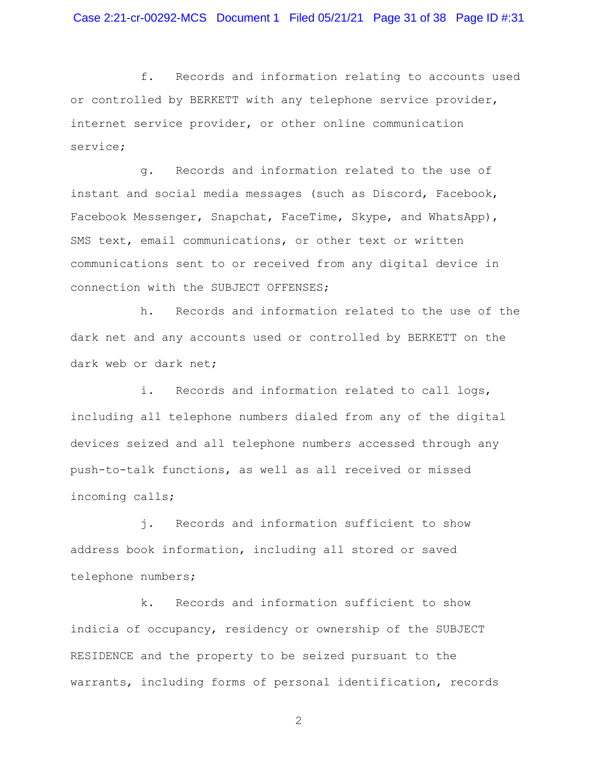f. Records and information relating to accounts used or controlled by BERKETT with any telephone service provider, internet service provider, or other online communication service;

g. Records and information related to the use of instant and social media messages (such as Discord, Facebook, Facebook Messenger, Snapchat, FaceTime, Skype, and WhatsApp), SMS text, email communications, or other text or written communications sent to or received from any digital device in connection with the SUBJECT OFFENSES;

h. Records and information related to the use of the dark net and any accounts used or controlled by BERKETT on the dark web or dark net;

i. Records and information related to call logs, including all telephone numbers dialed from any of the digital devices seized and all telephone numbers accessed through any push-to-talk functions, as well as all received or missed incoming calls;

j. Records and information sufficient to show address book information, including all stored or saved telephone numbers;

k. Records and information sufficient to show indicia of occupancy, residency or ownership of the SUBJECT RESIDENCE and the property to be seized pursuant to the warrants, including forms of personal identification, records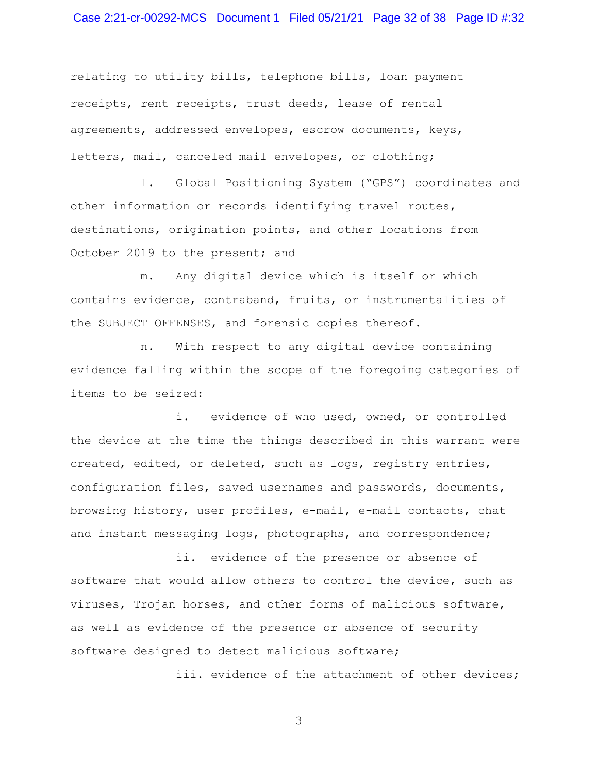# Case 2:21-cr-00292-MCS Document 1 Filed 05/21/21 Page 32 of 38 Page ID #:32

relating to utility bills, telephone bills, loan payment receipts, rent receipts, trust deeds, lease of rental agreements, addressed envelopes, escrow documents, keys, letters, mail, canceled mail envelopes, or clothing;

l. Global Positioning System ("GPS") coordinates and other information or records identifying travel routes, destinations, origination points, and other locations from October 2019 to the present; and

m. Any digital device which is itself or which contains evidence, contraband, fruits, or instrumentalities of the SUBJECT OFFENSES, and forensic copies thereof.

n. With respect to any digital device containing evidence falling within the scope of the foregoing categories of items to be seized:

i. evidence of who used, owned, or controlled the device at the time the things described in this warrant were created, edited, or deleted, such as logs, registry entries, configuration files, saved usernames and passwords, documents, browsing history, user profiles, e-mail, e-mail contacts, chat and instant messaging logs, photographs, and correspondence;

ii. evidence of the presence or absence of software that would allow others to control the device, such as viruses, Trojan horses, and other forms of malicious software, as well as evidence of the presence or absence of security software designed to detect malicious software;

iii. evidence of the attachment of other devices;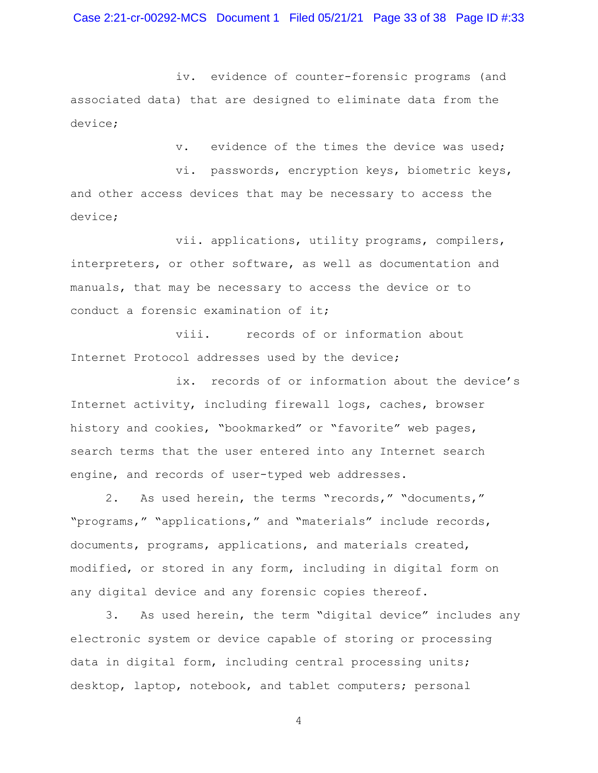iv. evidence of counter-forensic programs (and associated data) that are designed to eliminate data from the device;

v. evidence of the times the device was used;

vi. passwords, encryption keys, biometric keys, and other access devices that may be necessary to access the device;

vii. applications, utility programs, compilers, interpreters, or other software, as well as documentation and manuals, that may be necessary to access the device or to conduct a forensic examination of it;

viii. records of or information about Internet Protocol addresses used by the device;

ix. records of or information about the device's Internet activity, including firewall logs, caches, browser history and cookies, "bookmarked" or "favorite" web pages, search terms that the user entered into any Internet search engine, and records of user-typed web addresses.

2. As used herein, the terms "records," "documents," "programs," "applications," and "materials" include records, documents, programs, applications, and materials created, modified, or stored in any form, including in digital form on any digital device and any forensic copies thereof.

3. As used herein, the term "digital device" includes any electronic system or device capable of storing or processing data in digital form, including central processing units; desktop, laptop, notebook, and tablet computers; personal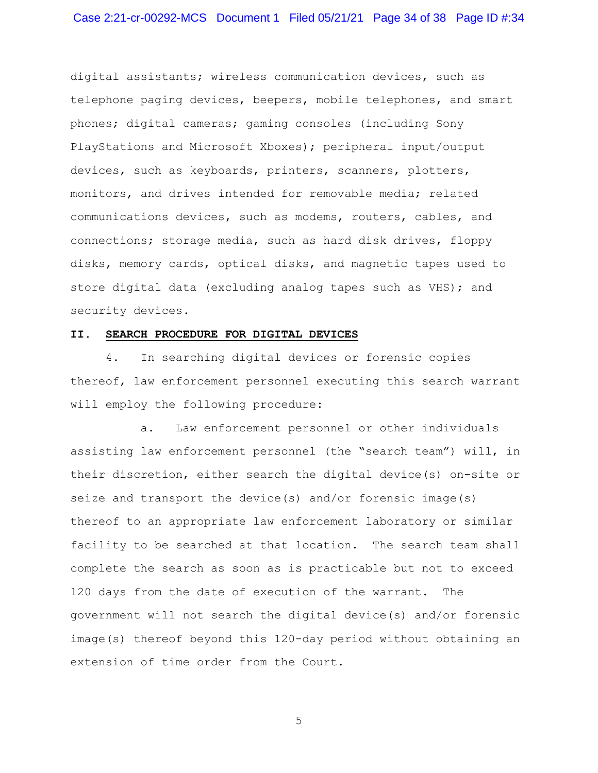digital assistants; wireless communication devices, such as telephone paging devices, beepers, mobile telephones, and smart phones; digital cameras; gaming consoles (including Sony PlayStations and Microsoft Xboxes); peripheral input/output devices, such as keyboards, printers, scanners, plotters, monitors, and drives intended for removable media; related communications devices, such as modems, routers, cables, and connections; storage media, such as hard disk drives, floppy disks, memory cards, optical disks, and magnetic tapes used to store digital data (excluding analog tapes such as VHS); and security devices.

#### **II. SEARCH PROCEDURE FOR DIGITAL DEVICES**

4. In searching digital devices or forensic copies thereof, law enforcement personnel executing this search warrant will employ the following procedure:

a. Law enforcement personnel or other individuals assisting law enforcement personnel (the "search team") will, in their discretion, either search the digital device(s) on-site or seize and transport the device(s) and/or forensic image(s) thereof to an appropriate law enforcement laboratory or similar facility to be searched at that location. The search team shall complete the search as soon as is practicable but not to exceed 120 days from the date of execution of the warrant. The government will not search the digital device(s) and/or forensic image(s) thereof beyond this 120-day period without obtaining an extension of time order from the Court.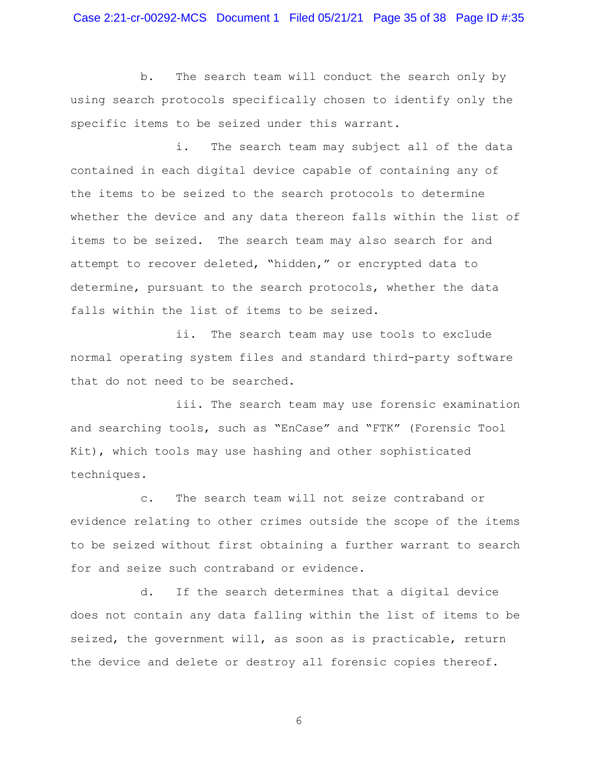b. The search team will conduct the search only by using search protocols specifically chosen to identify only the specific items to be seized under this warrant.

i. The search team may subject all of the data contained in each digital device capable of containing any of the items to be seized to the search protocols to determine whether the device and any data thereon falls within the list of items to be seized. The search team may also search for and attempt to recover deleted, "hidden," or encrypted data to determine, pursuant to the search protocols, whether the data falls within the list of items to be seized.

ii. The search team may use tools to exclude normal operating system files and standard third-party software that do not need to be searched.

iii. The search team may use forensic examination and searching tools, such as "EnCase" and "FTK" (Forensic Tool Kit), which tools may use hashing and other sophisticated techniques.

c. The search team will not seize contraband or evidence relating to other crimes outside the scope of the items to be seized without first obtaining a further warrant to search for and seize such contraband or evidence.

d. If the search determines that a digital device does not contain any data falling within the list of items to be seized, the government will, as soon as is practicable, return the device and delete or destroy all forensic copies thereof.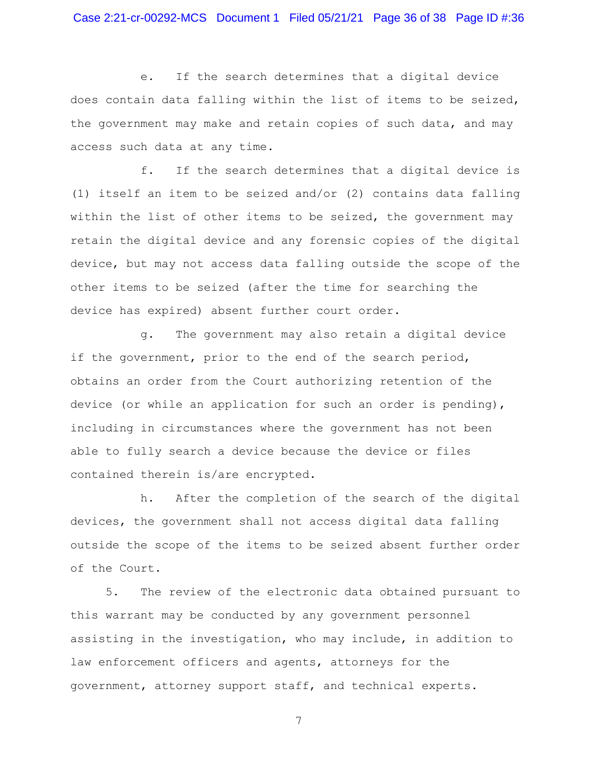e. If the search determines that a digital device does contain data falling within the list of items to be seized, the government may make and retain copies of such data, and may access such data at any time.

f. If the search determines that a digital device is (1) itself an item to be seized and/or (2) contains data falling within the list of other items to be seized, the government may retain the digital device and any forensic copies of the digital device, but may not access data falling outside the scope of the other items to be seized (after the time for searching the device has expired) absent further court order.

g. The government may also retain a digital device if the government, prior to the end of the search period, obtains an order from the Court authorizing retention of the device (or while an application for such an order is pending), including in circumstances where the government has not been able to fully search a device because the device or files contained therein is/are encrypted.

h. After the completion of the search of the digital devices, the government shall not access digital data falling outside the scope of the items to be seized absent further order of the Court.

5. The review of the electronic data obtained pursuant to this warrant may be conducted by any government personnel assisting in the investigation, who may include, in addition to law enforcement officers and agents, attorneys for the government, attorney support staff, and technical experts.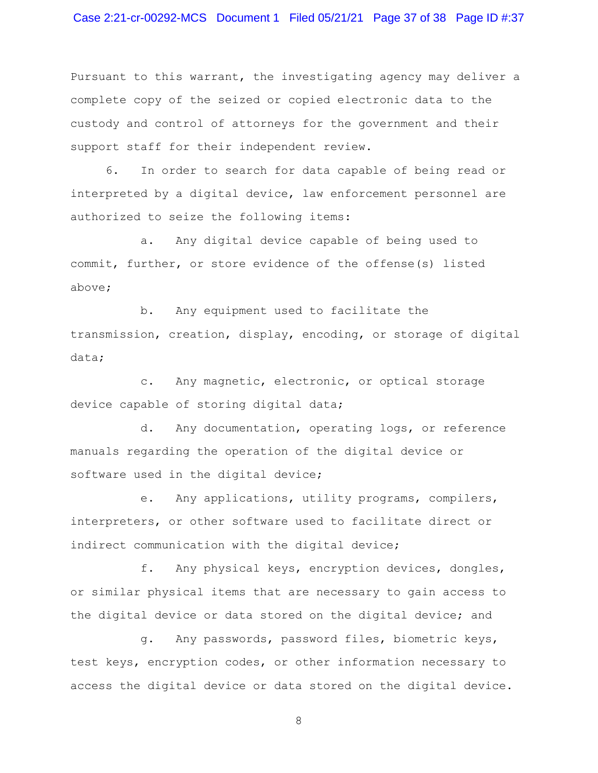## Case 2:21-cr-00292-MCS Document 1 Filed 05/21/21 Page 37 of 38 Page ID #:37

Pursuant to this warrant, the investigating agency may deliver a complete copy of the seized or copied electronic data to the custody and control of attorneys for the government and their support staff for their independent review.

6. In order to search for data capable of being read or interpreted by a digital device, law enforcement personnel are authorized to seize the following items:

a. Any digital device capable of being used to commit, further, or store evidence of the offense(s) listed above;

b. Any equipment used to facilitate the transmission, creation, display, encoding, or storage of digital data;

c. Any magnetic, electronic, or optical storage device capable of storing digital data;

d. Any documentation, operating logs, or reference manuals regarding the operation of the digital device or software used in the digital device;

e. Any applications, utility programs, compilers, interpreters, or other software used to facilitate direct or indirect communication with the digital device;

f. Any physical keys, encryption devices, dongles, or similar physical items that are necessary to gain access to the digital device or data stored on the digital device; and

g. Any passwords, password files, biometric keys, test keys, encryption codes, or other information necessary to access the digital device or data stored on the digital device.